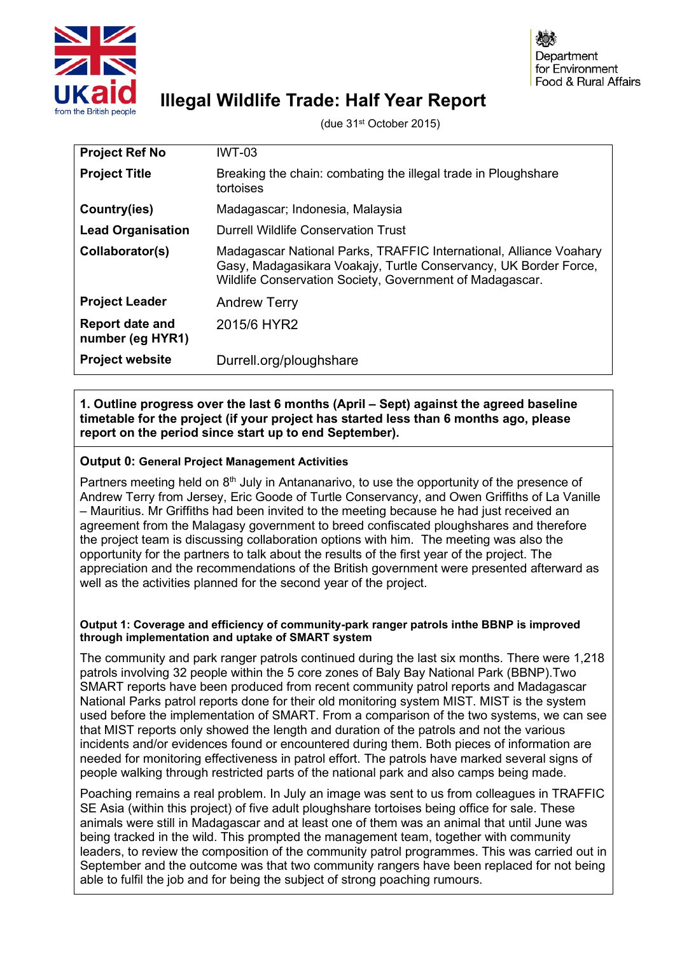

# **Illegal Wildlife Trade: Half Year Report**

(due 31st October 2015)

| <b>Project Ref No</b>                      | <b>IWT-03</b>                                                                                                                                                                                      |
|--------------------------------------------|----------------------------------------------------------------------------------------------------------------------------------------------------------------------------------------------------|
| <b>Project Title</b>                       | Breaking the chain: combating the illegal trade in Ploughshare<br>tortoises                                                                                                                        |
| Country(ies)                               | Madagascar; Indonesia, Malaysia                                                                                                                                                                    |
| <b>Lead Organisation</b>                   | Durrell Wildlife Conservation Trust                                                                                                                                                                |
| Collaborator(s)                            | Madagascar National Parks, TRAFFIC International, Alliance Voahary<br>Gasy, Madagasikara Voakajy, Turtle Conservancy, UK Border Force,<br>Wildlife Conservation Society, Government of Madagascar. |
| <b>Project Leader</b>                      | <b>Andrew Terry</b>                                                                                                                                                                                |
| <b>Report date and</b><br>number (eg HYR1) | 2015/6 HYR2                                                                                                                                                                                        |
| <b>Project website</b>                     | Durrell.org/ploughshare                                                                                                                                                                            |

## **1. Outline progress over the last 6 months (April – Sept) against the agreed baseline timetable for the project (if your project has started less than 6 months ago, please report on the period since start up to end September).**

## **Output 0: General Project Management Activities**

Partners meeting held on 8<sup>th</sup> July in Antananarivo, to use the opportunity of the presence of Andrew Terry from Jersey, Eric Goode of Turtle Conservancy, and Owen Griffiths of La Vanille – Mauritius. Mr Griffiths had been invited to the meeting because he had just received an agreement from the Malagasy government to breed confiscated ploughshares and therefore the project team is discussing collaboration options with him. The meeting was also the opportunity for the partners to talk about the results of the first year of the project. The appreciation and the recommendations of the British government were presented afterward as well as the activities planned for the second year of the project.

#### **Output 1: Coverage and efficiency of community-park ranger patrols inthe BBNP is improved through implementation and uptake of SMART system**

The community and park ranger patrols continued during the last six months. There were 1,218 patrols involving 32 people within the 5 core zones of Baly Bay National Park (BBNP).Two SMART reports have been produced from recent community patrol reports and Madagascar National Parks patrol reports done for their old monitoring system MIST. MIST is the system used before the implementation of SMART. From a comparison of the two systems, we can see that MIST reports only showed the length and duration of the patrols and not the various incidents and/or evidences found or encountered during them. Both pieces of information are needed for monitoring effectiveness in patrol effort. The patrols have marked several signs of people walking through restricted parts of the national park and also camps being made.

Poaching remains a real problem. In July an image was sent to us from colleagues in TRAFFIC SE Asia (within this project) of five adult ploughshare tortoises being office for sale. These animals were still in Madagascar and at least one of them was an animal that until June was being tracked in the wild. This prompted the management team, together with community leaders, to review the composition of the community patrol programmes. This was carried out in September and the outcome was that two community rangers have been replaced for not being able to fulfil the job and for being the subject of strong poaching rumours.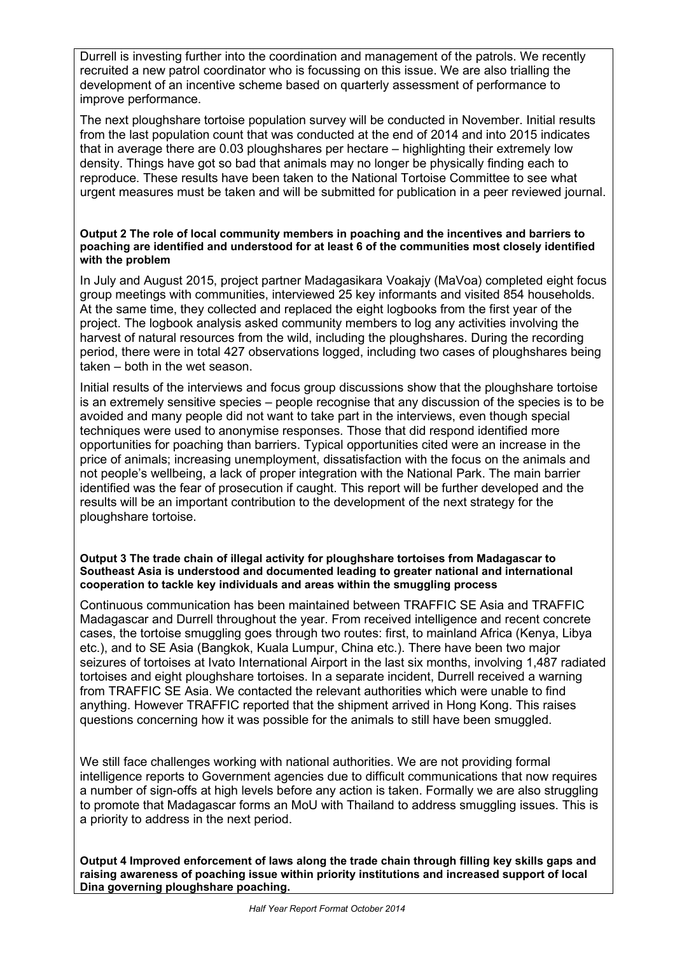Durrell is investing further into the coordination and management of the patrols. We recently recruited a new patrol coordinator who is focussing on this issue. We are also trialling the development of an incentive scheme based on quarterly assessment of performance to improve performance.

The next ploughshare tortoise population survey will be conducted in November. Initial results from the last population count that was conducted at the end of 2014 and into 2015 indicates that in average there are 0.03 ploughshares per hectare – highlighting their extremely low density. Things have got so bad that animals may no longer be physically finding each to reproduce. These results have been taken to the National Tortoise Committee to see what urgent measures must be taken and will be submitted for publication in a peer reviewed journal.

#### **Output 2 The role of local community members in poaching and the incentives and barriers to poaching are identified and understood for at least 6 of the communities most closely identified with the problem**

In July and August 2015, project partner Madagasikara Voakajy (MaVoa) completed eight focus group meetings with communities, interviewed 25 key informants and visited 854 households. At the same time, they collected and replaced the eight logbooks from the first year of the project. The logbook analysis asked community members to log any activities involving the harvest of natural resources from the wild, including the ploughshares. During the recording period, there were in total 427 observations logged, including two cases of ploughshares being taken – both in the wet season.

Initial results of the interviews and focus group discussions show that the ploughshare tortoise is an extremely sensitive species – people recognise that any discussion of the species is to be avoided and many people did not want to take part in the interviews, even though special techniques were used to anonymise responses. Those that did respond identified more opportunities for poaching than barriers. Typical opportunities cited were an increase in the price of animals; increasing unemployment, dissatisfaction with the focus on the animals and not people's wellbeing, a lack of proper integration with the National Park. The main barrier identified was the fear of prosecution if caught. This report will be further developed and the results will be an important contribution to the development of the next strategy for the ploughshare tortoise.

#### **Output 3 The trade chain of illegal activity for ploughshare tortoises from Madagascar to Southeast Asia is understood and documented leading to greater national and international cooperation to tackle key individuals and areas within the smuggling process**

Continuous communication has been maintained between TRAFFIC SE Asia and TRAFFIC Madagascar and Durrell throughout the year. From received intelligence and recent concrete cases, the tortoise smuggling goes through two routes: first, to mainland Africa (Kenya, Libya etc.), and to SE Asia (Bangkok, Kuala Lumpur, China etc.). There have been two major seizures of tortoises at Ivato International Airport in the last six months, involving 1,487 radiated tortoises and eight ploughshare tortoises. In a separate incident, Durrell received a warning from TRAFFIC SE Asia. We contacted the relevant authorities which were unable to find anything. However TRAFFIC reported that the shipment arrived in Hong Kong. This raises questions concerning how it was possible for the animals to still have been smuggled.

We still face challenges working with national authorities. We are not providing formal intelligence reports to Government agencies due to difficult communications that now requires a number of sign-offs at high levels before any action is taken. Formally we are also struggling to promote that Madagascar forms an MoU with Thailand to address smuggling issues. This is a priority to address in the next period.

**Output 4 Improved enforcement of laws along the trade chain through filling key skills gaps and raising awareness of poaching issue within priority institutions and increased support of local Dina governing ploughshare poaching.**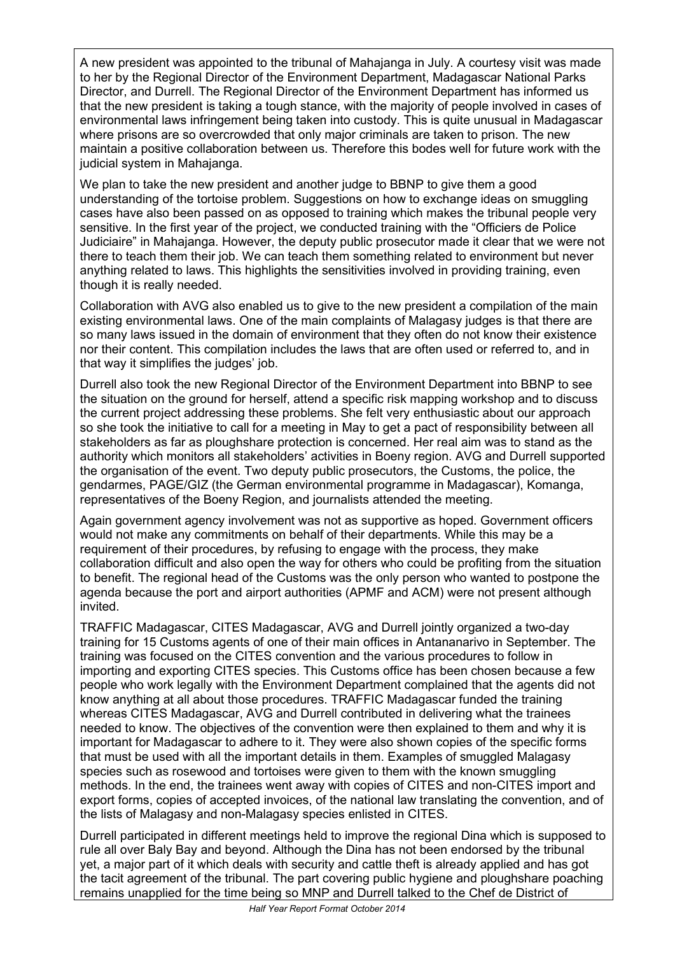A new president was appointed to the tribunal of Mahajanga in July. A courtesy visit was made to her by the Regional Director of the Environment Department, Madagascar National Parks Director, and Durrell. The Regional Director of the Environment Department has informed us that the new president is taking a tough stance, with the majority of people involved in cases of environmental laws infringement being taken into custody. This is quite unusual in Madagascar where prisons are so overcrowded that only major criminals are taken to prison. The new maintain a positive collaboration between us. Therefore this bodes well for future work with the judicial system in Mahajanga.

We plan to take the new president and another judge to BBNP to give them a good understanding of the tortoise problem. Suggestions on how to exchange ideas on smuggling cases have also been passed on as opposed to training which makes the tribunal people very sensitive. In the first year of the project, we conducted training with the "Officiers de Police Judiciaire" in Mahajanga. However, the deputy public prosecutor made it clear that we were not there to teach them their job. We can teach them something related to environment but never anything related to laws. This highlights the sensitivities involved in providing training, even though it is really needed.

Collaboration with AVG also enabled us to give to the new president a compilation of the main existing environmental laws. One of the main complaints of Malagasy judges is that there are so many laws issued in the domain of environment that they often do not know their existence nor their content. This compilation includes the laws that are often used or referred to, and in that way it simplifies the judges' job.

Durrell also took the new Regional Director of the Environment Department into BBNP to see the situation on the ground for herself, attend a specific risk mapping workshop and to discuss the current project addressing these problems. She felt very enthusiastic about our approach so she took the initiative to call for a meeting in May to get a pact of responsibility between all stakeholders as far as ploughshare protection is concerned. Her real aim was to stand as the authority which monitors all stakeholders' activities in Boeny region. AVG and Durrell supported the organisation of the event. Two deputy public prosecutors, the Customs, the police, the gendarmes, PAGE/GIZ (the German environmental programme in Madagascar), Komanga, representatives of the Boeny Region, and journalists attended the meeting.

Again government agency involvement was not as supportive as hoped. Government officers would not make any commitments on behalf of their departments. While this may be a requirement of their procedures, by refusing to engage with the process, they make collaboration difficult and also open the way for others who could be profiting from the situation to benefit. The regional head of the Customs was the only person who wanted to postpone the agenda because the port and airport authorities (APMF and ACM) were not present although invited.

TRAFFIC Madagascar, CITES Madagascar, AVG and Durrell jointly organized a two-day training for 15 Customs agents of one of their main offices in Antananarivo in September. The training was focused on the CITES convention and the various procedures to follow in importing and exporting CITES species. This Customs office has been chosen because a few people who work legally with the Environment Department complained that the agents did not know anything at all about those procedures. TRAFFIC Madagascar funded the training whereas CITES Madagascar, AVG and Durrell contributed in delivering what the trainees needed to know. The objectives of the convention were then explained to them and why it is important for Madagascar to adhere to it. They were also shown copies of the specific forms that must be used with all the important details in them. Examples of smuggled Malagasy species such as rosewood and tortoises were given to them with the known smuggling methods. In the end, the trainees went away with copies of CITES and non-CITES import and export forms, copies of accepted invoices, of the national law translating the convention, and of the lists of Malagasy and non-Malagasy species enlisted in CITES.

Durrell participated in different meetings held to improve the regional Dina which is supposed to rule all over Baly Bay and beyond. Although the Dina has not been endorsed by the tribunal yet, a major part of it which deals with security and cattle theft is already applied and has got the tacit agreement of the tribunal. The part covering public hygiene and ploughshare poaching remains unapplied for the time being so MNP and Durrell talked to the Chef de District of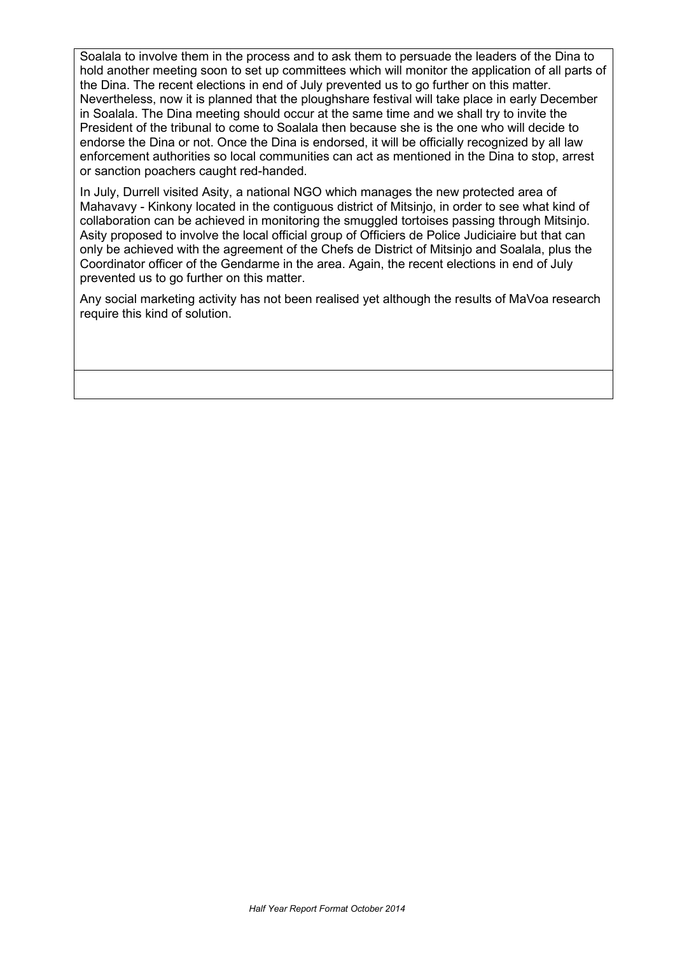Soalala to involve them in the process and to ask them to persuade the leaders of the Dina to hold another meeting soon to set up committees which will monitor the application of all parts of the Dina. The recent elections in end of July prevented us to go further on this matter. Nevertheless, now it is planned that the ploughshare festival will take place in early December in Soalala. The Dina meeting should occur at the same time and we shall try to invite the President of the tribunal to come to Soalala then because she is the one who will decide to endorse the Dina or not. Once the Dina is endorsed, it will be officially recognized by all law enforcement authorities so local communities can act as mentioned in the Dina to stop, arrest or sanction poachers caught red-handed.

In July, Durrell visited Asity, a national NGO which manages the new protected area of Mahavavy - Kinkony located in the contiguous district of Mitsinjo, in order to see what kind of collaboration can be achieved in monitoring the smuggled tortoises passing through Mitsinjo. Asity proposed to involve the local official group of Officiers de Police Judiciaire but that can only be achieved with the agreement of the Chefs de District of Mitsinjo and Soalala, plus the Coordinator officer of the Gendarme in the area. Again, the recent elections in end of July prevented us to go further on this matter.

Any social marketing activity has not been realised yet although the results of MaVoa research require this kind of solution.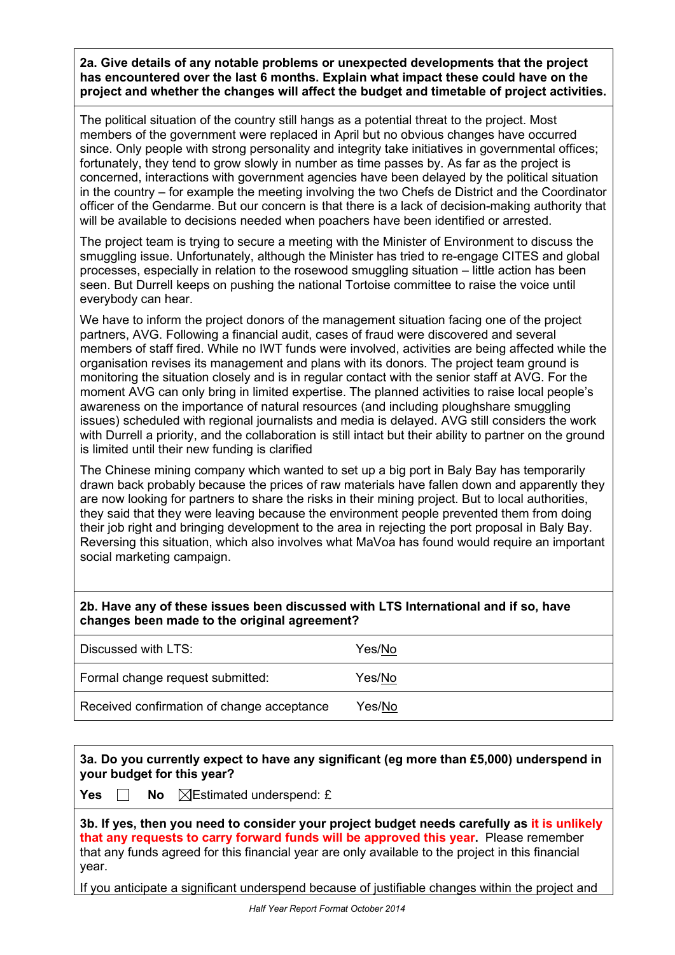**2a. Give details of any notable problems or unexpected developments that the project has encountered over the last 6 months. Explain what impact these could have on the project and whether the changes will affect the budget and timetable of project activities.**

The political situation of the country still hangs as a potential threat to the project. Most members of the government were replaced in April but no obvious changes have occurred since. Only people with strong personality and integrity take initiatives in governmental offices; fortunately, they tend to grow slowly in number as time passes by. As far as the project is concerned, interactions with government agencies have been delayed by the political situation in the country – for example the meeting involving the two Chefs de District and the Coordinator officer of the Gendarme. But our concern is that there is a lack of decision-making authority that will be available to decisions needed when poachers have been identified or arrested.

The project team is trying to secure a meeting with the Minister of Environment to discuss the smuggling issue. Unfortunately, although the Minister has tried to re-engage CITES and global processes, especially in relation to the rosewood smuggling situation – little action has been seen. But Durrell keeps on pushing the national Tortoise committee to raise the voice until everybody can hear.

We have to inform the project donors of the management situation facing one of the project partners, AVG. Following a financial audit, cases of fraud were discovered and several members of staff fired. While no IWT funds were involved, activities are being affected while the organisation revises its management and plans with its donors. The project team ground is monitoring the situation closely and is in regular contact with the senior staff at AVG. For the moment AVG can only bring in limited expertise. The planned activities to raise local people's awareness on the importance of natural resources (and including ploughshare smuggling issues) scheduled with regional journalists and media is delayed. AVG still considers the work with Durrell a priority, and the collaboration is still intact but their ability to partner on the ground is limited until their new funding is clarified

The Chinese mining company which wanted to set up a big port in Baly Bay has temporarily drawn back probably because the prices of raw materials have fallen down and apparently they are now looking for partners to share the risks in their mining project. But to local authorities, they said that they were leaving because the environment people prevented them from doing their job right and bringing development to the area in rejecting the port proposal in Baly Bay. Reversing this situation, which also involves what MaVoa has found would require an important social marketing campaign.

## **2b. Have any of these issues been discussed with LTS International and if so, have changes been made to the original agreement?**

| Discussed with LTS:                        | Yes/No |
|--------------------------------------------|--------|
| Formal change request submitted:           | Yes/No |
| Received confirmation of change acceptance | Yes/No |

# **3a. Do you currently expect to have any significant (eg more than £5,000) underspend in your budget for this year?**

**Yes**  $\Box$  **No**  $\Box$  Estimated underspend: £

**3b. If yes, then you need to consider your project budget needs carefully as it is unlikely that any requests to carry forward funds will be approved this year.** Please remember that any funds agreed for this financial year are only available to the project in this financial year.

If you anticipate a significant underspend because of justifiable changes within the project and